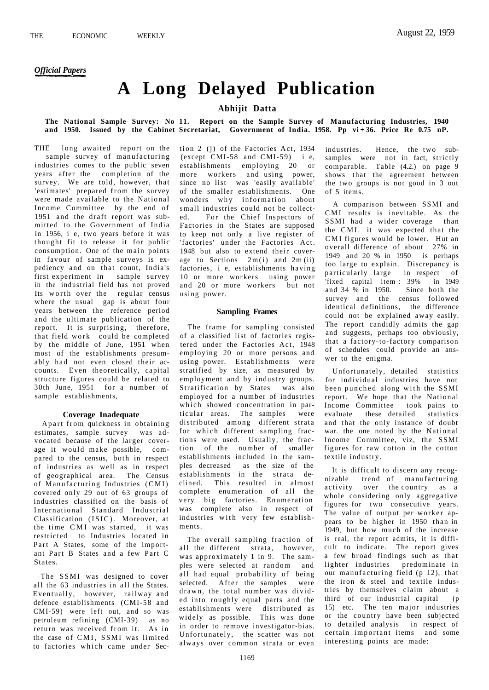# **A Long Delayed Publication**

## **Abhijit Datta**

#### **The National Sample Survey: No 11. Report on the Sample Survey of Manufacturing Industries, 1940 and 1950. Issued by the Cabinet Secretariat, Government of India. 1958. Pp vi + 36. Price Re 0.75 nP.**

THE long awaited report on the sample survey of manufacturing industries comes to the public seven years after the completion of the survey. We are told, however, that 'estimates' prepared from the survey were made available to the National Income Committee by the end of 1951 and the draft report was submitted to the Government of India in 1956, i e, two years before it was thought fit to release it for public consumption. One of the main points in favour of sample surveys is expediency and on that count, India's first experiment in sample survey in the industrial field has not proved Its worth over the regular census where the usual gap is about four years between the reference period and the ultimate publication of the report. It is surprising, therefore, that field work could be completed by the middle of June, 1951 when most of the establishments presumably had not even closed their accounts. Even theoretically, capital structure figures could be related to 30th June, 1951 for a number of sample establishments,

### **Coverage Inadequate**

Apart from quickness in obtaining estimates, sample survey was advocated because of the larger coverage it would make possible, compared to the census, both in respect of industries as well as in respect of geographical area. The Census of Manufacturing Industries (CMI) covered only 29 out of 63 groups of industries classified on the basis of International Standard Industrial Classification (ISIC). Moreover, at the time CMI was started, it was restricted to Industries located in Part A States, some of the important Part B States and a few Part C **States**.

The SSMI was designed to cover all the 63 industries in all the States. Eventually, however, railway and defence establishments (CMI-58 and CMI-59) were left out, and so was petroleum refining (CMI-39) as no return was received from it. As in the case of CMI. SSMI was limited to factories which came under Section 2 (j) of the Factories Act, 1934 (except CMI-58 and CMI-59) i e, establishments employing 20 or more workers and using power, since no list was 'easily available' of the smaller establishments. One wonders why information about small industries could not be collected. For the Chief Inspectors of Factories in the States are supposed to keep not only a live register of 'factories' under the Factories Act. 1948 but also to extend their coverage to Sections  $2m(i)$  and  $2m(ii)$ factories, i e, establishments having 10 or more workers using power and 20 or more workers but not using power.

#### **Sampling Frames**

The frame for sampling consisted of a classified list of factories registered under the Factories Act, 1948 employing 20 or more persons and using power. Establishments were stratified by size, as measured by employment and by industry groups. Stratification by States was also employed for a number of industries which showed concentration in particular areas. The samples were distributed among different strata for which different sampling fractions were used. Usually, the fraction of the number of smaller establishments included in the samples decreased as the size of the establishments in the strata declined. This resulted in almost complete enumeration of all the very big factories. Enumeration was complete also in respect of industries with very few establishments.

The overall sampling fraction of all the different strata, however, was approximately 1 in 9. The samples were selected at random and all had equal probability of being selected. After the samples were  $d$ rawn, the total number was divided into roughly equal parts and the establishments were distributed as widely as possible. This was done in order to remove investigator-bias. Unfortunately, the scatter was not always over common strata or even

industries. Hence, the two subsamples were not in fact, strictly comparable. Table (4.2.) on page 9 shows that the agreement between the two groups is not good in 3 out of 5 items.

A comparison between SSMI and CMI results is inevitable. As the SSMI had a wider coverage than the CMI. it was expected that the CMI figures would be lower. Hut an overall difference of about 27% in 1949 and 20 % in 1950 is perhaps too large to explain. Discrepancy is particularly large in respect of 'fixed capital item : 39% in 1949 and 34 % in 1950. Since both the survey and the census followed identical definitions, the difference could not be explained away easily. The report candidly admits the gap and suggests, perhaps too obviously, that a factory-to-factory comparison of schedules could provide an answer to the enigma.

Unfortunately, detailed statistics for individual industries have not been punched along with the SSMI report. We hope that the National Income Committee took pains to evaluate these detailed statistics and that the only instance of doubt war. the one noted by the National Income Committee, viz, the SSMI figures for raw cotton in the cotton textile industry.

It is difficult to discern any recognizable trend of manufacturing activity over the country as a whole considering only aggregative figures for two consecutive years. The value of output per worker appears to be higher in 1950 than in 1949, but how much of the increase is real, the report admits, it is difficult to indicate. The report gives a few broad findings such as that lighter industries predominate in our manufacturing field  $(p 12)$ , that the iron & steel and textile industries by themselves claim about a third of our industrial capital (p 15) etc. The ten major industries or the country have been subjected to detailed analysis in respect of certain important items and some interesting points are made: